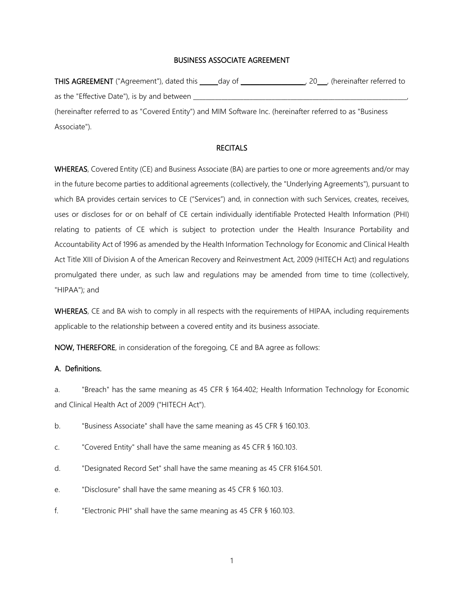# BUSINESS ASSOCIATE AGREEMENT

THIS AGREEMENT ("Agreement"), dated this \_\_\_\_\_day of \_\_\_\_\_\_\_\_\_\_\_\_\_\_\_\_\_\_\_\_\_, 20\_\_\_, (hereinafter referred to as the "Effective Date"), is by and between (hereinafter referred to as "Covered Entity") and MIM Software Inc. (hereinafter referred to as "Business Associate").

# **RECITALS**

WHEREAS, Covered Entity (CE) and Business Associate (BA) are parties to one or more agreements and/or may in the future become parties to additional agreements (collectively, the "Underlying Agreements"), pursuant to which BA provides certain services to CE ("Services") and, in connection with such Services, creates, receives, uses or discloses for or on behalf of CE certain individually identifiable Protected Health Information (PHI) relating to patients of CE which is subject to protection under the Health Insurance Portability and Accountability Act of 1996 as amended by the Health Information Technology for Economic and Clinical Health Act Title XIII of Division A of the American Recovery and Reinvestment Act, 2009 (HITECH Act) and regulations promulgated there under, as such law and regulations may be amended from time to time (collectively, "HIPAA"); and

WHEREAS, CE and BA wish to comply in all respects with the requirements of HIPAA, including requirements applicable to the relationship between a covered entity and its business associate.

NOW, THEREFORE, in consideration of the foregoing, CE and BA agree as follows:

# A. Definitions.

a. "Breach" has the same meaning as 45 CFR § 164.402; Health Information Technology for Economic and Clinical Health Act of 2009 ("HITECH Act").

b. "Business Associate" shall have the same meaning as 45 CFR § 160.103.

- c. "Covered Entity" shall have the same meaning as 45 CFR § 160.103.
- d. "Designated Record Set" shall have the same meaning as 45 CFR §164.501.
- e. "Disclosure" shall have the same meaning as 45 CFR § 160.103.
- f. "Electronic PHI" shall have the same meaning as 45 CFR § 160.103.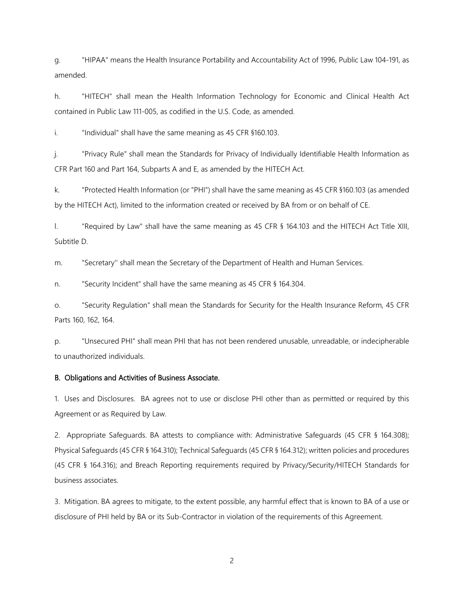g. "HIPAA" means the Health Insurance Portability and Accountability Act of 1996, Public Law 104-191, as amended.

h. "HITECH" shall mean the Health Information Technology for Economic and Clinical Health Act contained in Public Law 111-005, as codified in the U.S. Code, as amended.

i. "Individual" shall have the same meaning as 45 CFR §160.103.

j. "Privacy Rule" shall mean the Standards for Privacy of Individually Identifiable Health Information as CFR Part 160 and Part 164, Subparts A and E, as amended by the HITECH Act.

k. "Protected Health Information (or "PHI") shall have the same meaning as 45 CFR §160.103 (as amended by the HITECH Act), limited to the information created or received by BA from or on behalf of CE.

l. "Required by Law" shall have the same meaning as 45 CFR § 164.103 and the HITECH Act Title XIII, Subtitle D.

m. "Secretary'' shall mean the Secretary of the Department of Health and Human Services.

n. "Security Incident" shall have the same meaning as 45 CFR § 164.304.

o. "Security Regulation" shall mean the Standards for Security for the Health Insurance Reform, 45 CFR Parts 160, 162, 164.

p. "Unsecured PHI" shall mean PHI that has not been rendered unusable, unreadable, or indecipherable to unauthorized individuals.

### B. Obligations and Activities of Business Associate.

1. Uses and Disclosures. BA agrees not to use or disclose PHI other than as permitted or required by this Agreement or as Required by Law.

2. Appropriate Safeguards. BA attests to compliance with: Administrative Safeguards (45 CFR § 164.308); Physical Safeguards (45 CFR § 164.310); Technical Safeguards (45 CFR § 164.312); written policies and procedures (45 CFR § 164.316); and Breach Reporting requirements required by Privacy/Security/HITECH Standards for business associates.

3. Mitigation. BA agrees to mitigate, to the extent possible, any harmful effect that is known to BA of a use or disclosure of PHI held by BA or its Sub-Contractor in violation of the requirements of this Agreement.

2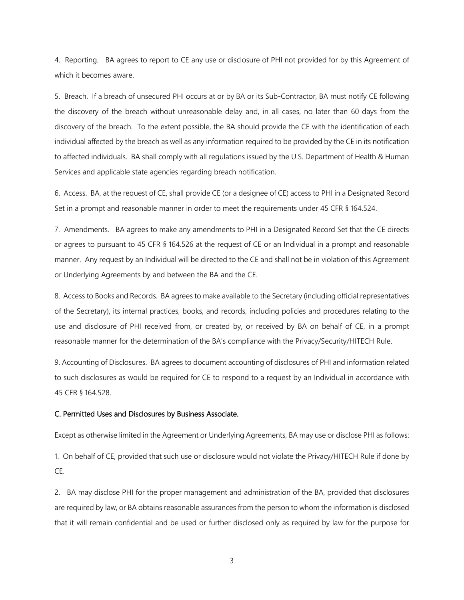4. Reporting. BA agrees to report to CE any use or disclosure of PHI not provided for by this Agreement of which it becomes aware.

5. Breach. If a breach of unsecured PHI occurs at or by BA or its Sub-Contractor, BA must notify CE following the discovery of the breach without unreasonable delay and, in all cases, no later than 60 days from the discovery of the breach. To the extent possible, the BA should provide the CE with the identification of each individual affected by the breach as well as any information required to be provided by the CE in its notification to affected individuals. BA shall comply with all regulations issued by the U.S. Department of Health & Human Services and applicable state agencies regarding breach notification.

6. Access. BA, at the request of CE, shall provide CE (or a designee of CE) access to PHI in a Designated Record Set in a prompt and reasonable manner in order to meet the requirements under 45 CFR § 164.524.

7. Amendments. BA agrees to make any amendments to PHI in a Designated Record Set that the CE directs or agrees to pursuant to 45 CFR § 164.526 at the request of CE or an Individual in a prompt and reasonable manner. Any request by an Individual will be directed to the CE and shall not be in violation of this Agreement or Underlying Agreements by and between the BA and the CE.

8. Access to Books and Records. BA agrees to make available to the Secretary (including official representatives of the Secretary), its internal practices, books, and records, including policies and procedures relating to the use and disclosure of PHI received from, or created by, or received by BA on behalf of CE, in a prompt reasonable manner for the determination of the BA's compliance with the Privacy/Security/HITECH Rule.

9. Accounting of Disclosures. BA agrees to document accounting of disclosures of PHI and information related to such disclosures as would be required for CE to respond to a request by an Individual in accordance with 45 CFR § 164.528.

### C. Permitted Uses and Disclosures by Business Associate.

Except as otherwise limited in the Agreement or Underlying Agreements, BA may use or disclose PHI as follows:

1. On behalf of CE, provided that such use or disclosure would not violate the Privacy/HITECH Rule if done by CE.

2. BA may disclose PHI for the proper management and administration of the BA, provided that disclosures are required by law, or BA obtains reasonable assurances from the person to whom the information is disclosed that it will remain confidential and be used or further disclosed only as required by law for the purpose for

3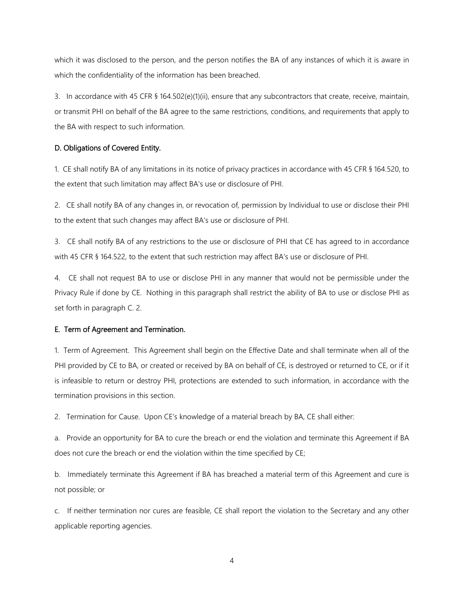which it was disclosed to the person, and the person notifies the BA of any instances of which it is aware in which the confidentiality of the information has been breached.

3. In accordance with 45 CFR § 164.502(e)(1)(ii), ensure that any subcontractors that create, receive, maintain, or transmit PHI on behalf of the BA agree to the same restrictions, conditions, and requirements that apply to the BA with respect to such information.

# D. Obligations of Covered Entity.

1. CE shall notify BA of any limitations in its notice of privacy practices in accordance with 45 CFR § 164.520, to the extent that such limitation may affect BA's use or disclosure of PHI.

2. CE shall notify BA of any changes in, or revocation of, permission by Individual to use or disclose their PHI to the extent that such changes may affect BA's use or disclosure of PHI.

3. CE shall notify BA of any restrictions to the use or disclosure of PHI that CE has agreed to in accordance with 45 CFR § 164.522, to the extent that such restriction may affect BA's use or disclosure of PHI.

4. CE shall not request BA to use or disclose PHI in any manner that would not be permissible under the Privacy Rule if done by CE. Nothing in this paragraph shall restrict the ability of BA to use or disclose PHI as set forth in paragraph C. 2.

#### E. Term of Agreement and Termination.

1. Term of Agreement. This Agreement shall begin on the Effective Date and shall terminate when all of the PHI provided by CE to BA, or created or received by BA on behalf of CE, is destroyed or returned to CE, or if it is infeasible to return or destroy PHI, protections are extended to such information, in accordance with the termination provisions in this section.

2. Termination for Cause. Upon CE's knowledge of a material breach by BA, CE shall either:

a. Provide an opportunity for BA to cure the breach or end the violation and terminate this Agreement if BA does not cure the breach or end the violation within the time specified by CE;

b. Immediately terminate this Agreement if BA has breached a material term of this Agreement and cure is not possible; or

c. If neither termination nor cures are feasible, CE shall report the violation to the Secretary and any other applicable reporting agencies.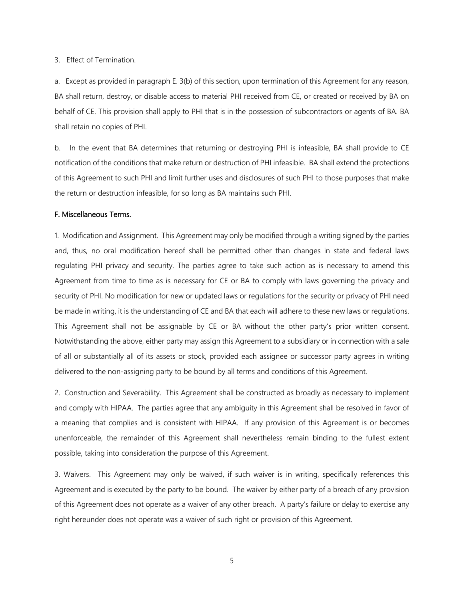3. Effect of Termination.

a. Except as provided in paragraph E. 3(b) of this section, upon termination of this Agreement for any reason, BA shall return, destroy, or disable access to material PHI received from CE, or created or received by BA on behalf of CE. This provision shall apply to PHI that is in the possession of subcontractors or agents of BA. BA shall retain no copies of PHI.

b. In the event that BA determines that returning or destroying PHI is infeasible, BA shall provide to CE notification of the conditions that make return or destruction of PHI infeasible. BA shall extend the protections of this Agreement to such PHI and limit further uses and disclosures of such PHI to those purposes that make the return or destruction infeasible, for so long as BA maintains such PHI.

### F. Miscellaneous Terms.

1. Modification and Assignment. This Agreement may only be modified through a writing signed by the parties and, thus, no oral modification hereof shall be permitted other than changes in state and federal laws regulating PHI privacy and security. The parties agree to take such action as is necessary to amend this Agreement from time to time as is necessary for CE or BA to comply with laws governing the privacy and security of PHI. No modification for new or updated laws or regulations for the security or privacy of PHI need be made in writing, it is the understanding of CE and BA that each will adhere to these new laws or regulations. This Agreement shall not be assignable by CE or BA without the other party's prior written consent. Notwithstanding the above, either party may assign this Agreement to a subsidiary or in connection with a sale of all or substantially all of its assets or stock, provided each assignee or successor party agrees in writing delivered to the non-assigning party to be bound by all terms and conditions of this Agreement.

2. Construction and Severability. This Agreement shall be constructed as broadly as necessary to implement and comply with HIPAA. The parties agree that any ambiguity in this Agreement shall be resolved in favor of a meaning that complies and is consistent with HIPAA. If any provision of this Agreement is or becomes unenforceable, the remainder of this Agreement shall nevertheless remain binding to the fullest extent possible, taking into consideration the purpose of this Agreement.

3. Waivers. This Agreement may only be waived, if such waiver is in writing, specifically references this Agreement and is executed by the party to be bound. The waiver by either party of a breach of any provision of this Agreement does not operate as a waiver of any other breach. A party's failure or delay to exercise any right hereunder does not operate was a waiver of such right or provision of this Agreement.

5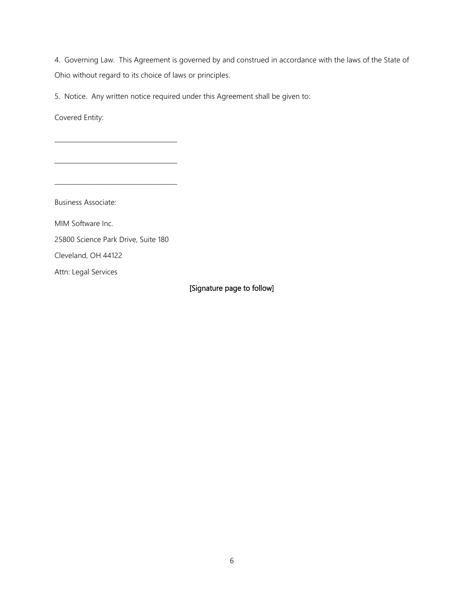4. Governing Law. This Agreement is governed by and construed in accordance with the laws of the State of Ohio without regard to its choice of laws or principles.

5. Notice. Any written notice required under this Agreement shall be given to:

Covered Entity:

Business Associate: MIM Software Inc. 25800 Science Park Drive, Suite 180 Cleveland, OH 44122 Attn: Legal Services

\_\_\_\_\_\_\_\_\_\_\_\_\_\_\_\_\_\_\_\_\_\_\_\_\_\_\_\_\_\_\_\_\_\_\_\_\_\_\_

\_\_\_\_\_\_\_\_\_\_\_\_\_\_\_\_\_\_\_\_\_\_\_\_\_\_\_\_\_\_\_\_\_\_\_\_\_\_\_

[Signature page to follow]